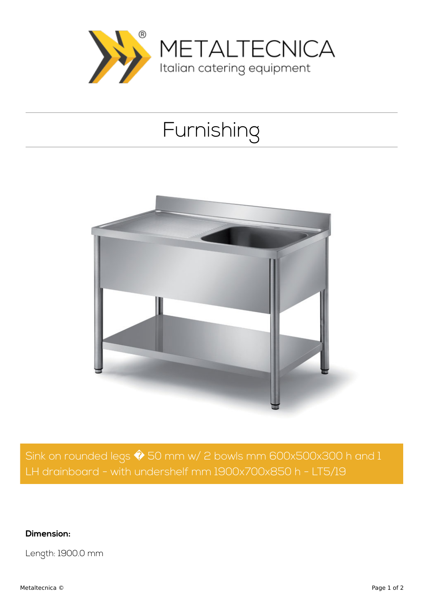

## Furnishing



Sink on rounded legs  $\hat{\blacklozenge}$  50 mm w/ 2 bowls mm 600x500x300 h and 1 LH drainboard - with undershelf mm 1900x700x850 h - LT5/19

**Dimension:**

Length: 1900.0 mm